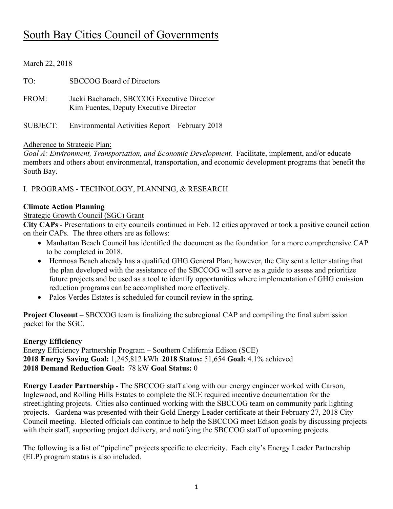# South Bay Cities Council of Governments

| March 22, 2018 |                                                                                      |
|----------------|--------------------------------------------------------------------------------------|
| TO:            | <b>SBCCOG</b> Board of Directors                                                     |
| FROM:          | Jacki Bacharach, SBCCOG Executive Director<br>Kim Fuentes, Deputy Executive Director |
| SUBJECT:       | Environmental Activities Report – February 2018                                      |

#### Adherence to Strategic Plan:

*Goal A: Environment, Transportation, and Economic Development.* Facilitate, implement, and/or educate members and others about environmental, transportation, and economic development programs that benefit the South Bay.

I. PROGRAMS - TECHNOLOGY, PLANNING, & RESEARCH

#### **Climate Action Planning**

#### Strategic Growth Council (SGC) Grant

**City CAPs** - Presentations to city councils continued in Feb. 12 cities approved or took a positive council action on their CAPs. The three others are as follows:

- Manhattan Beach Council has identified the document as the foundation for a more comprehensive CAP to be completed in 2018.
- Hermosa Beach already has a qualified GHG General Plan; however, the City sent a letter stating that the plan developed with the assistance of the SBCCOG will serve as a guide to assess and prioritize future projects and be used as a tool to identify opportunities where implementation of GHG emission reduction programs can be accomplished more effectively.
- Palos Verdes Estates is scheduled for council review in the spring.

**Project Closeout** – SBCCOG team is finalizing the subregional CAP and compiling the final submission packet for the SGC.

#### **Energy Efficiency**

Energy Efficiency Partnership Program – Southern California Edison (SCE) **2018 Energy Saving Goal:** 1,245,812 kWh **2018 Status:** 51,654 **Goal:** 4.1% achieved **2018 Demand Reduction Goal:** 78 kW **Goal Status:** 0

**Energy Leader Partnership** - The SBCCOG staff along with our energy engineer worked with Carson, Inglewood, and Rolling Hills Estates to complete the SCE required incentive documentation for the streetlighting projects. Cities also continued working with the SBCCOG team on community park lighting projects. Gardena was presented with their Gold Energy Leader certificate at their February 27, 2018 City Council meeting. Elected officials can continue to help the SBCCOG meet Edison goals by discussing projects with their staff, supporting project delivery, and notifying the SBCCOG staff of upcoming projects.

The following is a list of "pipeline" projects specific to electricity. Each city's Energy Leader Partnership (ELP) program status is also included.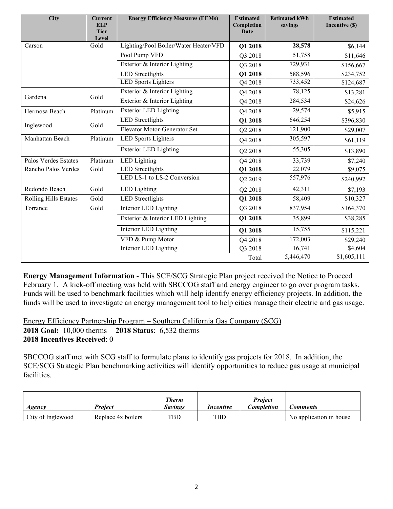| <b>City</b>                  | <b>Current</b><br><b>ELP</b><br><b>Tier</b><br>Level | <b>Energy Efficiency Measures (EEMs)</b> | <b>Estimated</b><br>Completion<br><b>Date</b> | <b>Estimated kWh</b><br>savings | <b>Estimated</b><br>Incentive (\$) |
|------------------------------|------------------------------------------------------|------------------------------------------|-----------------------------------------------|---------------------------------|------------------------------------|
| Carson                       | Gold                                                 | Lighting/Pool Boiler/Water Heater/VFD    | Q1 2018                                       | 28,578                          | \$6,144                            |
|                              |                                                      | Pool Pump VFD                            | Q3 2018                                       | 51,758                          | \$11,646                           |
|                              |                                                      | Exterior & Interior Lighting             | Q3 2018                                       | 729,931                         | \$156,667                          |
|                              |                                                      | <b>LED</b> Streetlights                  | Q1 2018                                       | 588,596                         | \$234,752                          |
|                              |                                                      | <b>LED Sports Lighters</b>               | Q4 2018                                       | 733,452                         | \$124,687                          |
|                              | Gold                                                 | Exterior & Interior Lighting             | Q4 2018                                       | 78,125                          | \$13,281                           |
| Gardena                      |                                                      | Exterior & Interior Lighting             | Q4 2018                                       | 284,534                         | \$24,626                           |
| Hermosa Beach                | Platinum                                             | <b>Exterior LED Lighting</b>             | Q4 2018                                       | 29,574                          | \$5,915                            |
|                              |                                                      | <b>LED</b> Streetlights                  | Q1 2018                                       | 646,254                         | \$396,830                          |
| Inglewood                    | Gold                                                 | Elevator Motor-Generator Set             | Q2 2018                                       | 121,900                         | \$29,007                           |
| Manhattan Beach              | Platinum                                             | <b>LED Sports Lighters</b>               | Q4 2018                                       | 305,597                         | \$61,119                           |
|                              |                                                      | <b>Exterior LED Lighting</b>             | Q2 2018                                       | 55,305                          | \$13,890                           |
| Palos Verdes Estates         | Platinum                                             | <b>LED</b> Lighting                      | Q4 2018                                       | 33,739                          | \$7,240                            |
| Rancho Palos Verdes          | Gold                                                 | LED Streetlights                         | Q1 2018                                       | 22.079                          | \$9,075                            |
|                              |                                                      | LED LS-1 to LS-2 Conversion              | Q2 2019                                       | 557,976                         | \$240,992                          |
| Redondo Beach                | Gold                                                 | LED Lighting                             | Q2 2018                                       | 42,311                          | \$7,193                            |
| <b>Rolling Hills Estates</b> | Gold                                                 | <b>LED</b> Streetlights                  | Q1 2018                                       | 58,409                          | \$10,327                           |
| Torrance                     | Gold                                                 | Interior LED Lighting                    | Q3 2018                                       | 837,954                         | \$164,370                          |
|                              |                                                      | Exterior & Interior LED Lighting         | Q1 2018                                       | 35,899                          | \$38,285                           |
|                              |                                                      | Interior LED Lighting                    | Q1 2018                                       | 15,755                          | \$115,221                          |
|                              |                                                      | VFD & Pump Motor                         | Q4 2018                                       | 172,003                         | \$29,240                           |
|                              |                                                      | Interior LED Lighting                    | Q3 2018                                       | 16,741                          | \$4,604                            |
|                              |                                                      |                                          | Total                                         | 5,446,470                       | \$1,605,111                        |

**Energy Management Information** - This SCE/SCG Strategic Plan project received the Notice to Proceed February 1. A kick-off meeting was held with SBCCOG staff and energy engineer to go over program tasks. Funds will be used to benchmark facilities which will help identify energy efficiency projects. In addition, the funds will be used to investigate an energy management tool to help cities manage their electric and gas usage.

Energy Efficiency Partnership Program – Southern California Gas Company (SCG) **2018 Goal:** 10,000 therms **2018 Status**: 6,532 therms **2018 Incentives Received**: 0

SBCCOG staff met with SCG staff to formulate plans to identify gas projects for 2018. In addition, the SCE/SCG Strategic Plan benchmarking activities will identify opportunities to reduce gas usage at municipal facilities.

| Agency            | <b>Project</b>     | Therm<br><b>Savings</b> | Incentive  | <b>Project</b><br><i>Completion</i> | <b>Comments</b>         |
|-------------------|--------------------|-------------------------|------------|-------------------------------------|-------------------------|
| City of Inglewood | Replace 4x boilers | TBD                     | $\text{t}$ |                                     | No application in house |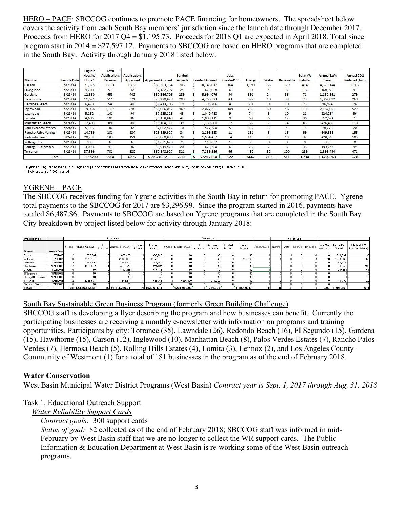HERO – PACE: SBCCOG continues to promote PACE financing for homeowners. The spreadsheet below covers the activity from each South Bay members' jurisdiction since the launch date through December 2017. Proceeds from HERO for 2017 Q4 = \$1,195.73. Proceeds for 2018 Q1 are expected in April 2018. Total since program start in 2014 = \$27,597.12. Payments to SBCCOG are based on HERO programs that are completed in the South Bay. Activity through January 2018 listed below:

| <b>Member</b>                | <b>Launch Date</b> | <b>Eligible</b><br><b>Housing</b><br>Units <sup>*</sup> | Total<br><b>Applications</b><br><b>Received</b> | <b>Applications</b><br>Approved | <b>Approved Amount</b> | <b>Funded</b><br><b>Projects</b> | <b>Funded Amount</b> | Jobs<br>Created*** | <b>Energy</b>  | Water    | Renewable | Solar kW<br>Installed | <b>Annual kWh</b><br>Saved | <b>Annual CO2</b><br><b>Reduced (Tons)</b> |
|------------------------------|--------------------|---------------------------------------------------------|-------------------------------------------------|---------------------------------|------------------------|----------------------------------|----------------------|--------------------|----------------|----------|-----------|-----------------------|----------------------------|--------------------------------------------|
| Carson                       | 5/23/14            | 21,375                                                  | 1,853                                           | 1,235                           | \$86,363,164           | 706                              | 18,248,017           | 164                | 1.190          | 68       | 179       | 414                   | 4,329,144                  | 1,062                                      |
| El Segundo                   | 5/23/14            | 4,209                                                   | 51                                              | 42                              | \$7,182,297            | 24                               | 629,058              | 6                  | 30             | 4        | 8         | 18                    | 168,929                    | 41                                         |
| Gardena                      | 5/23/14            | 12,360                                                  | 653                                             | 442                             | \$30,366,706           | 239                              | 5,994,076            | 54                 | 391            | 24       | 36        | 71                    | 1,150,561                  | 279                                        |
| Hawthorne                    | 5/23/14            | 11,621                                                  | 511                                             | 371                             | \$29,270,879           | 208                              | 4,765,523            | 43                 | 327            | 10       | 38        | 73                    | 1,067,092                  | 260                                        |
| Hermosa Beach                | 5/23/14            | 6.473                                                   | 54                                              | 40                              | \$8,413,706            | 19                               | 395,206              |                    | 20             | $\circ$  | 10        | 23                    | 96,974                     | 26                                         |
| Inglewood                    | 5/23/14            | 19,038                                                  | 1,267                                           | 848                             | \$59,066,012           | 469                              | 12,077,321           | 109                | 756            | 50       | 48        | 111                   | 2,182,061                  | 529                                        |
| Lawndale                     | 5/23/14            | 5,262                                                   | 142                                             | 94                              | \$7,235,826            | 45                               | 1,040,438            | 9                  | 74             |          | 10        | 21                    | 224,264                    | 56                                         |
| Lomita                       | 5/23/14            | 4,606                                                   | 102                                             | 86                              | \$8,158,849            | 42                               | 1,008,111            | 9                  | 68             | б        | 12        | 36                    | 312,674                    | 77                                         |
| Manhattan Beach              | 5/28/15            | 12,403                                                  | 89                                              | 80                              | \$18,104,211           | 39                               | 1,289,800            | 12                 | 68             |          | 24        | 85                    | 426,488                    | 110                                        |
| Palos Verdes Estates         | 5/28/15            | 5,115                                                   | 36                                              | 32                              | \$7,062,522            | 10                               | 527.780              | 5                  | 16             | 3        |           | 11                    | 78,276                     | 20                                         |
| Rancho Palos Verdes          | 5/23/14            | 14,759                                                  | 208                                             | 184                             | \$29,859,927           | 84                               | 2,299,533            | 21                 | 131            |          | 16        | 59                    | 649,589                    | 156                                        |
| Redondo Beach                | 3/24/15            | 20,292                                                  | 183                                             | 151                             | \$20,060,893           | 78                               | 1,554,437            | 14                 | 113            | ₹        | 18        | 37                    | 428,518                    | 105                                        |
| Rolling Hills                | 5/23/14            | 698                                                     | 6                                               | 6                               | \$1,631,678            |                                  | 119,637              |                    | $\overline{2}$ | $\Omega$ | $\Omega$  | $\Omega$              | 995                        | $\circ$                                    |
| <b>Rolling Hills Estates</b> | 5/23/14            | 3,090                                                   | 41                                              | 36                              | \$6,914,523            | 20                               | 673,760              | 6                  | 26             |          | 8         | 35                    | 193,244                    | 49                                         |
| Torrance                     | 5/23/14            | 37,899                                                  | 708                                             | 580                             | \$62,548.927           | 321                              | 7,289,956            | 66                 | 450            | 32       | 100       | 239                   | 1,896,454                  | 471                                        |
| <b>Total</b>                 |                    | 179,200                                                 | 5.904                                           | 4.227                           | \$382,240,121          | 2,306                            | 57,912,654           | 522                | 3.662          | 219      | 511       | 1.234                 | 13,205,263                 | 3,240                                      |

Eligible housing units based off Total Single Family Homes minus 5 units or more from the Department of Finance City/County Population and Housing Estimates, 1/1/2013. "" 1 job for every \$117,000 invested

# YGRENE – PACE

The SBCCOG receives funding for Ygrene activities in the South Bay in return for promoting PACE. Ygrene total payments to the SBCCOG for 2017 are \$3,296.99. Since the program started in 2016, payments have totaled \$6,487.86. Payments to SBCCOG are based on Ygrene programs that are completed in the South Bay. City breakdown by project listed below for activity through January 2018:

| <b>Project Type</b>   |             | Residential |                          |           |                   | Commercial         |                  |  |                                                                                                                                             |           |                              |         |                  | Project Type          |    |  |                             |           |                                  |                                 |
|-----------------------|-------------|-------------|--------------------------|-----------|-------------------|--------------------|------------------|--|---------------------------------------------------------------------------------------------------------------------------------------------|-----------|------------------------------|---------|------------------|-----------------------|----|--|-----------------------------|-----------|----------------------------------|---------------------------------|
|                       |             |             | # Apps   Eligible Amount | Approvals | Approved Amount   | #Funded<br>Project | Funded<br>Amount |  | # Apps   Eligible Amount                                                                                                                    | Approvals | Approved   #Funded<br>Amount | Project | Funded<br>Amount | Jobs Created   Energy |    |  | Water   Seismic   Renewable | Installed | Solar MW   Lifetime kWh<br>Saved | Lifetime CO2<br>Reduced (Mtons) |
| <b>District</b>       | Launch Date |             |                          |           |                   |                    |                  |  |                                                                                                                                             |           |                              |         |                  |                       |    |  |                             |           |                                  |                                 |
| Carson                | 10/6/2015   |             | \$777,281                |           | \$1,036,455       |                    | \$80,246         |  |                                                                                                                                             |           |                              |         |                  |                       |    |  |                             |           | 544,532                          | 96                              |
| Inglewood             | 8/8/2017    |             | \$516,434                |           | \$1,172,962       |                    | \$253,943        |  |                                                                                                                                             |           |                              |         | \$39,475         |                       |    |  |                             | 0.018     | 1,991,063                        | 352                             |
| Gardena               | 1/12/2016   |             | \$683,714                |           | \$683,714         |                    | \$9,340          |  |                                                                                                                                             |           |                              |         |                  |                       |    |  |                             |           | 63,379                           |                                 |
| Hawthorne             | 10/13/2015  |             | \$329,687                |           | \$576,716         |                    | \$115,041        |  |                                                                                                                                             |           |                              |         |                  |                       |    |  |                             |           | 780,640                          | 138                             |
| Lomita                | 8/26/2015   |             |                          |           | \$101,196         |                    | \$45,176         |  |                                                                                                                                             |           |                              |         |                  |                       |    |  |                             |           | 306553                           | 54                              |
| El Segundo            | 12/15/2015  |             |                          |           |                   |                    |                  |  |                                                                                                                                             |           |                              |         |                  |                       |    |  |                             |           |                                  |                                 |
| Rolling Hills Estates | 10/13/2015  |             |                          |           |                   |                    |                  |  |                                                                                                                                             |           |                              |         |                  |                       |    |  |                             |           |                                  |                                 |
| Torrance              | 10/13/2015  |             | \$228,577                |           | \$342.314         |                    | \$16,769         |  | \$234,000                                                                                                                                   |           | \$234,000                    |         |                  |                       |    |  |                             |           | 113,790                          | <b>20</b>                       |
| Redondo Beach         | 1/19/2016   |             |                          |           |                   |                    |                  |  |                                                                                                                                             |           |                              |         |                  |                       |    |  |                             |           |                                  |                                 |
| <b>Totals</b>         |             |             | 38 \$2 535 692 56        |           | 16 \$3 913 356 77 |                    | 14 \$520 514 71  |  | $\frac{1}{2}$ $\frac{1}{2}$ $\frac{1}{2}$ $\frac{1}{2}$ $\frac{1}{2}$ $\frac{1}{2}$ $\frac{1}{2}$ $\frac{1}{2}$ $\frac{1}{2}$ $\frac{1}{2}$ |           | 234 000                      |         | \$39,475.17      |                       | 11 |  |                             |           | 0.02 3.799.957                   | 671                             |

#### South Bay Sustainable Green Business Program (formerly Green Building Challenge)

SBCCOG staff is developing a flyer describing the program and how businesses can benefit. Currently the participating businesses are receiving a monthly e-newsletter with information on programs and training opportunities. Participants by city: Torrance (35), Lawndale (26), Redondo Beach (16), El Segundo (15), Gardena (15), Hawthorne (15), Carson (12), Inglewood (10), Manhattan Beach (8), Palos Verdes Estates (7), Rancho Palos Verdes (7), Hermosa Beach (5), Rolling Hills Estates (4), Lomita (3), Lennox (2), and Los Angeles County – Community of Westmont (1) for a total of 181 businesses in the program as of the end of February 2018.

#### **Water Conservation**

West Basin Municipal Water District Programs (West Basin) *Contract year is Sept. 1, 2017 through Aug. 31, 2018*

#### Task 1. Educational Outreach Support

#### *Water Reliability Support Cards*

*Contract goals:* 300 support cards

*Status of goal:* 82 collected as of the end of February 2018; SBCCOG staff was informed in mid-February by West Basin staff that we are no longer to collect the WR support cards. The Public Information & Education Department at West Basin is re-working some of the West Basin outreach programs.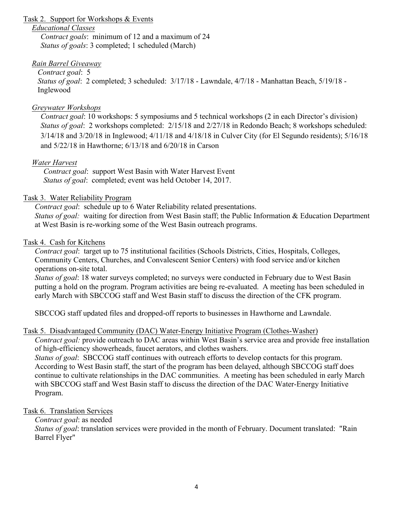#### Task 2. Support for Workshops & Events

#### *Educational Classes*

*Contract goals*: minimum of 12 and a maximum of 24 *Status of goals*: 3 completed; 1 scheduled (March)

# *Rain Barrel Giveaway*

*Contract goal*: 5

*Status of goal*: 2 completed; 3 scheduled: 3/17/18 - Lawndale, 4/7/18 - Manhattan Beach, 5/19/18 - Inglewood

# *Greywater Workshops*

*Contract goal*: 10 workshops: 5 symposiums and 5 technical workshops (2 in each Director's division) *Status of goal*: 2 workshops completed: 2/15/18 and 2/27/18 in Redondo Beach; 8 workshops scheduled: 3/14/18 and 3/20/18 in Inglewood; 4/11/18 and 4/18/18 in Culver City (for El Segundo residents); 5/16/18 and 5/22/18 in Hawthorne; 6/13/18 and 6/20/18 in Carson

# *Water Harvest*

*Contract goal*: support West Basin with Water Harvest Event *Status of goal*: completed; event was held October 14, 2017.

# Task 3. Water Reliability Program

*Contract goal*: schedule up to 6 Water Reliability related presentations. *Status of goal:* waiting for direction from West Basin staff; the Public Information & Education Department at West Basin is re-working some of the West Basin outreach programs.

# Task 4. Cash for Kitchens

*Contract goal*: target up to 75 institutional facilities (Schools Districts, Cities, Hospitals, Colleges, Community Centers, Churches, and Convalescent Senior Centers) with food service and/or kitchen operations on-site total.

*Status of goal*: 18 water surveys completed; no surveys were conducted in February due to West Basin putting a hold on the program. Program activities are being re-evaluated. A meeting has been scheduled in early March with SBCCOG staff and West Basin staff to discuss the direction of the CFK program.

SBCCOG staff updated files and dropped-off reports to businesses in Hawthorne and Lawndale.

# Task 5. Disadvantaged Community (DAC) Water-Energy Initiative Program (Clothes-Washer)

*Contract goal:* provide outreach to DAC areas within West Basin's service area and provide free installation of high-efficiency showerheads, faucet aerators, and clothes washers.

*Status of goal*: SBCCOG staff continues with outreach efforts to develop contacts for this program. According to West Basin staff, the start of the program has been delayed, although SBCCOG staff does continue to cultivate relationships in the DAC communities. A meeting has been scheduled in early March with SBCCOG staff and West Basin staff to discuss the direction of the DAC Water-Energy Initiative Program.

# Task 6. Translation Services

# *Contract goal*: as needed

*Status of goal*: translation services were provided in the month of February. Document translated: "Rain Barrel Flyer"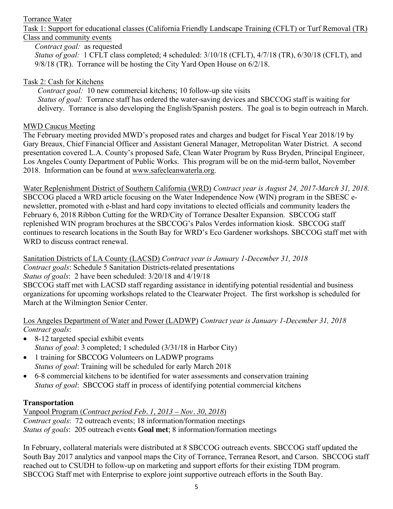#### Torrance Water

Task 1: Support for educational classes (California Friendly Landscape Training (CFLT) or Turf Removal (TR) Class and community events

*Contract goal:* as requested

*Status of goal:* 1 CFLT class completed; 4 scheduled: 3/10/18 (CFLT), 4/7/18 (TR), 6/30/18 (CFLT), and 9/8/18 (TR). Torrance will be hosting the City Yard Open House on 6/2/18.

# Task 2: Cash for Kitchens

*Contract goal:* 10 new commercial kitchens; 10 follow-up site visits *Status of goal:* Torrance staff has ordered the water-saving devices and SBCCOG staff is waiting for delivery. Torrance is also developing the English/Spanish posters. The goal is to begin outreach in March.

#### MWD Caucus Meeting

The February meeting provided MWD's proposed rates and charges and budget for Fiscal Year 2018/19 by Gary Breaux, Chief Financial Officer and Assistant General Manager, Metropolitan Water District. A second presentation covered L.A. County's proposed Safe, Clean Water Program by Russ Bryden, Principal Engineer, Los Angeles County Department of Public Works. This program will be on the mid-term ballot, November 2018. Information can be found at www.safecleanwaterla.org.

Water Replenishment District of Southern California (WRD) *Contract year is August 24, 2017-March 31, 2018.*  SBCCOG placed a WRD article focusing on the Water Independence Now (WIN) program in the SBESC enewsletter, promoted with e-blast and hard copy invitations to elected officials and community leaders the February 6, 2018 Ribbon Cutting for the WRD/City of Torrance Desalter Expansion. SBCCOG staff replenished WIN program brochures at the SBCCOG's Palos Verdes information kiosk. SBCCOG staff continues to research locations in the South Bay for WRD's Eco Gardener workshops. SBCCOG staff met with WRD to discuss contract renewal.

Sanitation Districts of LA County (LACSD) *Contract year is January 1-December 31, 2018 Contract goals*: Schedule 5 Sanitation Districts-related presentations *Status of goals*: 2 have been scheduled: 3/20/18 and 4/19/18 SBCCOG staff met with LACSD staff regarding assistance in identifying potential residential and business organizations for upcoming workshops related to the Clearwater Project. The first workshop is scheduled for March at the Wilmington Senior Center.

#### Los Angeles Department of Water and Power (LADWP) *Contract year is January 1-December 31, 2018 Contract goals*:

- 8-12 targeted special exhibit events *Status of goal*: 3 completed; 1 scheduled (3/31/18 in Harbor City)
- 1 training for SBCCOG Volunteers on LADWP programs *Status of goal*: Training will be scheduled for early March 2018
- 6-8 commercial kitchens to be identified for water assessments and conservation training *Status of goal*: SBCCOG staff in process of identifying potential commercial kitchens

# **Transportation**

Vanpool Program (*Contract period Feb. 1, 2013 – Nov. 30, 2018*) *Contract goals*: 72 outreach events; 18 information/formation meetings *Status of goals*: 205 outreach events **Goal met**; 8 information/formation meetings

In February, collateral materials were distributed at 8 SBCCOG outreach events. SBCCOG staff updated the South Bay 2017 analytics and vanpool maps the City of Torrance, Terranea Resort, and Carson. SBCCOG staff reached out to CSUDH to follow-up on marketing and support efforts for their existing TDM program. SBCCOG Staff met with Enterprise to explore joint supportive outreach efforts in the South Bay.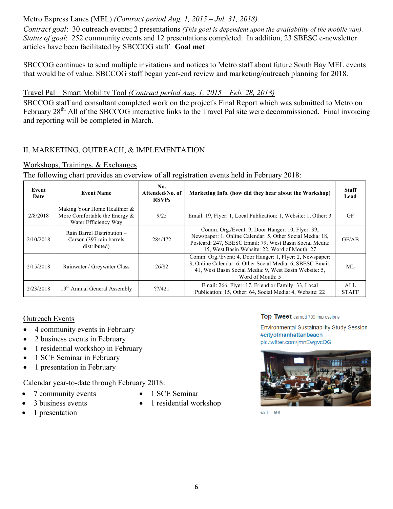# Metro Express Lanes (MEL) *(Contract period Aug. 1, 2015 – Jul. 31, 2018)*

*Contract goal*: 30 outreach events; 2 presentations *(This goal is dependent upon the availability of the mobile van). Status of goal*: 252 community events and 12 presentations completed. In addition, 23 SBESC e-newsletter articles have been facilitated by SBCCOG staff. **Goal met**

SBCCOG continues to send multiple invitations and notices to Metro staff about future South Bay MEL events that would be of value. SBCCOG staff began year-end review and marketing/outreach planning for 2018.

# Travel Pal – Smart Mobility Tool *(Contract period Aug. 1, 2015 – Feb. 28, 2018)*

SBCCOG staff and consultant completed work on the project's Final Report which was submitted to Metro on February 28<sup>th.</sup> All of the SBCCOG interactive links to the Travel Pal site were decommissioned. Final invoicing and reporting will be completed in March.

# II. MARKETING, OUTREACH, & IMPLEMENTATION

#### Workshops, Trainings, & Exchanges

The following chart provides an overview of all registration events held in February 2018:

| Event<br>Date | <b>Event Name</b>                                                                           | No.<br>Attended/No. of<br><b>RSVPs</b> | Marketing Info. (how did they hear about the Workshop)                                                                                                                                                                     | <b>Staff</b><br>Lead |
|---------------|---------------------------------------------------------------------------------------------|----------------------------------------|----------------------------------------------------------------------------------------------------------------------------------------------------------------------------------------------------------------------------|----------------------|
| 2/8/2018      | Making Your Home Healthier $\&$<br>More Comfortable the Energy $\&$<br>Water Efficiency Way | 9/25                                   | Email: 19, Flyer: 1, Local Publication: 1, Website: 1, Other: 3                                                                                                                                                            | <b>GF</b>            |
| 2/10/2018     | Rain Barrel Distribution -<br>Carson (397 rain barrels)<br>distributed)                     | 284/472                                | Comm. Org./Event: 9, Door Hanger: 10, Flyer: 39,<br>Newspaper: 1, Online Calendar: 5, Other Social Media: 18,<br>Postcard: 247, SBESC Email: 79, West Basin Social Media:<br>15, West Basin Website: 22, Word of Mouth: 27 | GF/AB                |
| 2/15/2018     | Rainwater / Greywater Class                                                                 | 26/82                                  | Comm. Org./Event: 4, Door Hanger: 1, Flyer: 2, Newspaper:<br>3, Online Calendar: 6, Other Social Media: 6, SBESC Email:<br>41, West Basin Social Media: 9, West Basin Website: 5,<br>Word of Mouth: 5                      | ML                   |
| 2/23/2018     | 19 <sup>th</sup> Annual General Assembly                                                    | 22/421                                 | Email: 266, Flyer: 17, Friend or Family: 33, Local<br>Publication: 15, Other: 64, Social Media: 4, Website: 22                                                                                                             | ALL<br><b>STAFF</b>  |

#### Outreach Events

- 4 community events in February
- 2 business events in February
- 1 residential workshop in February
- 1 SCE Seminar in February
- 1 presentation in February

Calendar year-to-date through February 2018:

- 7 community events
- 3 business events
- 1 presentation
- 1 SCE Seminar
- 1 residential workshop

Top Tweet earned 799 impressions

**Environmental Sustainability Study Session** #cityofmanhattanbeach pic.twitter.com/jmnEwgvcQG



**£3** 1 **⊎** 5